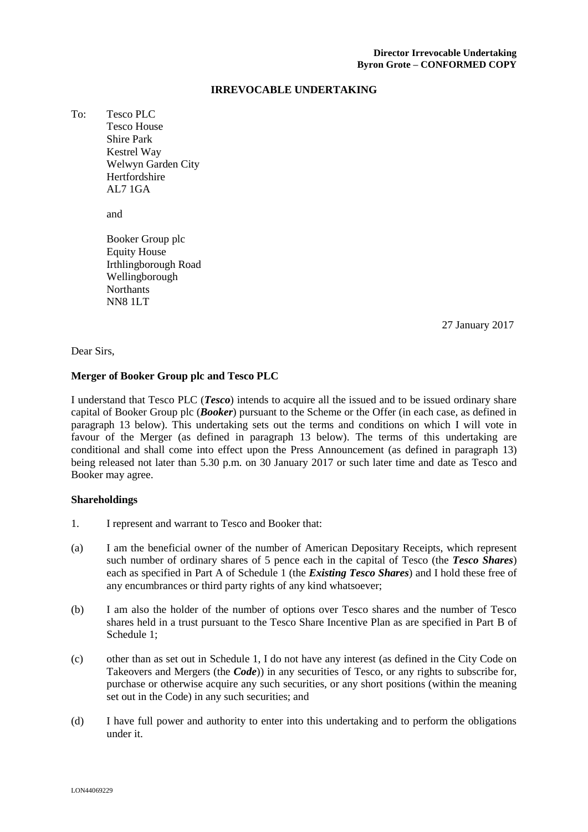#### **IRREVOCABLE UNDERTAKING**

To: Tesco PLC Tesco House Shire Park Kestrel Way Welwyn Garden City Hertfordshire AL7 1GA

and

Booker Group plc Equity House Irthlingborough Road Wellingborough **Northants** NN8 1LT

\_\_\_\_\_ January 2017 27 January 2017

Dear Sirs,

#### **Merger of Booker Group plc and Tesco PLC**

I understand that Tesco PLC (*Tesco*) intends to acquire all the issued and to be issued ordinary share capital of Booker Group plc (*Booker*) pursuant to the Scheme or the Offer (in each case, as defined in paragraph 13 below). This undertaking sets out the terms and conditions on which I will vote in favour of the Merger (as defined in paragraph 13 below). The terms of this undertaking are conditional and shall come into effect upon the Press Announcement (as defined in paragraph 13) being released not later than 5.30 p.m. on 30 January 2017 or such later time and date as Tesco and Booker may agree.

#### **Shareholdings**

- 1. I represent and warrant to Tesco and Booker that:
- (a) I am the beneficial owner of the number of American Depositary Receipts, which represent such number of ordinary shares of 5 pence each in the capital of Tesco (the *Tesco Shares*) each as specified in Part A of Schedule 1 (the *Existing Tesco Shares*) and I hold these free of any encumbrances or third party rights of any kind whatsoever;
- (b) I am also the holder of the number of options over Tesco shares and the number of Tesco shares held in a trust pursuant to the Tesco Share Incentive Plan as are specified in Part B of Schedule 1;
- (c) other than as set out in Schedule 1, I do not have any interest (as defined in the City Code on Takeovers and Mergers (the *Code*)) in any securities of Tesco, or any rights to subscribe for, purchase or otherwise acquire any such securities, or any short positions (within the meaning set out in the Code) in any such securities; and
- (d) I have full power and authority to enter into this undertaking and to perform the obligations under it.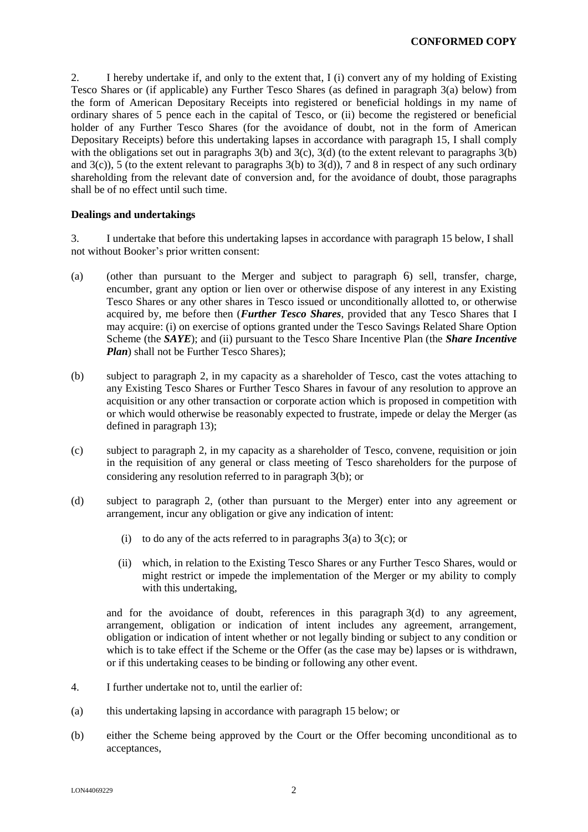2. I hereby undertake if, and only to the extent that, I (i) convert any of my holding of Existing Tesco Shares or (if applicable) any Further Tesco Shares (as defined in paragraph 3(a) below) from the form of American Depositary Receipts into registered or beneficial holdings in my name of ordinary shares of 5 pence each in the capital of Tesco, or (ii) become the registered or beneficial holder of any Further Tesco Shares (for the avoidance of doubt, not in the form of American Depositary Receipts) before this undertaking lapses in accordance with paragraph 15, I shall comply with the obligations set out in paragraphs  $3(b)$  and  $3(c)$ ,  $3(d)$  (to the extent relevant to paragraphs  $3(b)$ ) and  $3(c)$ ), 5 (to the extent relevant to paragraphs  $3(b)$  to  $3(d)$ ), 7 and 8 in respect of any such ordinary shareholding from the relevant date of conversion and, for the avoidance of doubt, those paragraphs shall be of no effect until such time.

## **Dealings and undertakings**

3. I undertake that before this undertaking lapses in accordance with paragraph 15 below, I shall not without Booker's prior written consent:

- (a) (other than pursuant to the Merger and subject to paragraph 6) sell, transfer, charge, encumber, grant any option or lien over or otherwise dispose of any interest in any Existing Tesco Shares or any other shares in Tesco issued or unconditionally allotted to, or otherwise acquired by, me before then (*Further Tesco Shares*, provided that any Tesco Shares that I may acquire: (i) on exercise of options granted under the Tesco Savings Related Share Option Scheme (the *SAYE*); and (ii) pursuant to the Tesco Share Incentive Plan (the *Share Incentive Plan*) shall not be Further Tesco Shares);
- (b) subject to paragraph 2, in my capacity as a shareholder of Tesco, cast the votes attaching to any Existing Tesco Shares or Further Tesco Shares in favour of any resolution to approve an acquisition or any other transaction or corporate action which is proposed in competition with or which would otherwise be reasonably expected to frustrate, impede or delay the Merger (as defined in paragraph 13);
- (c) subject to paragraph 2, in my capacity as a shareholder of Tesco, convene, requisition or join in the requisition of any general or class meeting of Tesco shareholders for the purpose of considering any resolution referred to in paragraph 3(b); or
- (d) subject to paragraph 2, (other than pursuant to the Merger) enter into any agreement or arrangement, incur any obligation or give any indication of intent:
	- (i) to do any of the acts referred to in paragraphs  $3(a)$  to  $3(c)$ ; or
	- (ii) which, in relation to the Existing Tesco Shares or any Further Tesco Shares, would or might restrict or impede the implementation of the Merger or my ability to comply with this undertaking,

and for the avoidance of doubt, references in this paragraph 3(d) to any agreement, arrangement, obligation or indication of intent includes any agreement, arrangement, obligation or indication of intent whether or not legally binding or subject to any condition or which is to take effect if the Scheme or the Offer (as the case may be) lapses or is withdrawn, or if this undertaking ceases to be binding or following any other event.

- 4. I further undertake not to, until the earlier of:
- (a) this undertaking lapsing in accordance with paragraph 15 below; or
- (b) either the Scheme being approved by the Court or the Offer becoming unconditional as to acceptances,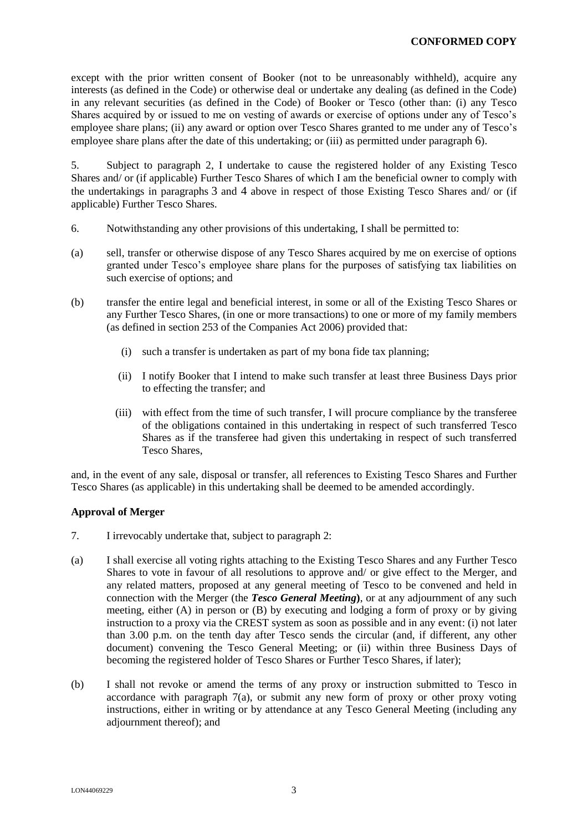except with the prior written consent of Booker (not to be unreasonably withheld), acquire any interests (as defined in the Code) or otherwise deal or undertake any dealing (as defined in the Code) in any relevant securities (as defined in the Code) of Booker or Tesco (other than: (i) any Tesco Shares acquired by or issued to me on vesting of awards or exercise of options under any of Tesco's employee share plans; (ii) any award or option over Tesco Shares granted to me under any of Tesco's employee share plans after the date of this undertaking; or (iii) as permitted under paragraph 6).

5. Subject to paragraph 2, I undertake to cause the registered holder of any Existing Tesco Shares and/ or (if applicable) Further Tesco Shares of which I am the beneficial owner to comply with the undertakings in paragraphs 3 and 4 above in respect of those Existing Tesco Shares and/ or (if applicable) Further Tesco Shares.

- 6. Notwithstanding any other provisions of this undertaking, I shall be permitted to:
- (a) sell, transfer or otherwise dispose of any Tesco Shares acquired by me on exercise of options granted under Tesco's employee share plans for the purposes of satisfying tax liabilities on such exercise of options; and
- (b) transfer the entire legal and beneficial interest, in some or all of the Existing Tesco Shares or any Further Tesco Shares, (in one or more transactions) to one or more of my family members (as defined in section 253 of the Companies Act 2006) provided that:
	- (i) such a transfer is undertaken as part of my bona fide tax planning;
	- (ii) I notify Booker that I intend to make such transfer at least three Business Days prior to effecting the transfer; and
	- (iii) with effect from the time of such transfer, I will procure compliance by the transferee of the obligations contained in this undertaking in respect of such transferred Tesco Shares as if the transferee had given this undertaking in respect of such transferred Tesco Shares,

and, in the event of any sale, disposal or transfer, all references to Existing Tesco Shares and Further Tesco Shares (as applicable) in this undertaking shall be deemed to be amended accordingly.

## **Approval of Merger**

- 7. I irrevocably undertake that, subject to paragraph 2:
- (a) I shall exercise all voting rights attaching to the Existing Tesco Shares and any Further Tesco Shares to vote in favour of all resolutions to approve and/ or give effect to the Merger, and any related matters, proposed at any general meeting of Tesco to be convened and held in connection with the Merger (the *Tesco General Meeting***)**, or at any adjournment of any such meeting, either (A) in person or (B) by executing and lodging a form of proxy or by giving instruction to a proxy via the CREST system as soon as possible and in any event: (i) not later than 3.00 p.m. on the tenth day after Tesco sends the circular (and, if different, any other document) convening the Tesco General Meeting; or (ii) within three Business Days of becoming the registered holder of Tesco Shares or Further Tesco Shares, if later);
- (b) I shall not revoke or amend the terms of any proxy or instruction submitted to Tesco in accordance with paragraph  $7(a)$ , or submit any new form of proxy or other proxy voting instructions, either in writing or by attendance at any Tesco General Meeting (including any adjournment thereof); and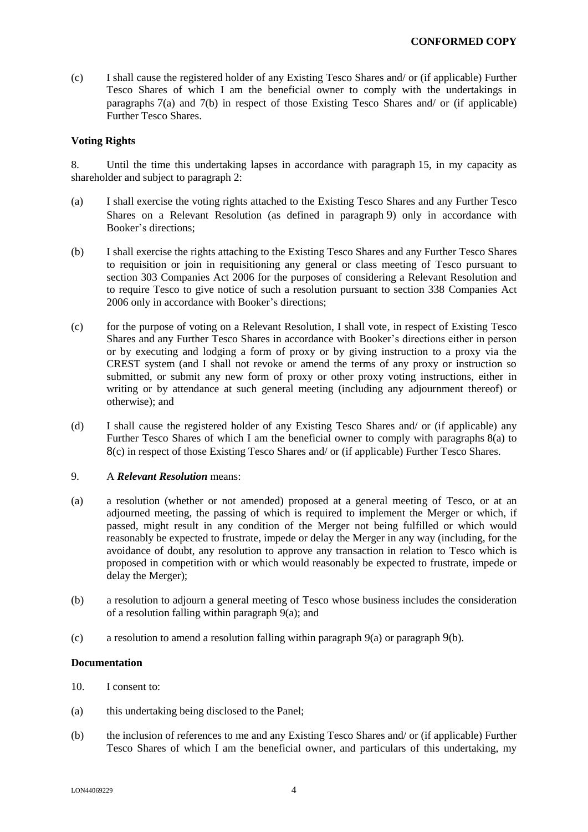(c) I shall cause the registered holder of any Existing Tesco Shares and/ or (if applicable) Further Tesco Shares of which I am the beneficial owner to comply with the undertakings in paragraphs 7(a) and 7(b) in respect of those Existing Tesco Shares and/ or (if applicable) Further Tesco Shares.

### **Voting Rights**

8. Until the time this undertaking lapses in accordance with paragraph 15, in my capacity as shareholder and subject to paragraph 2:

- (a) I shall exercise the voting rights attached to the Existing Tesco Shares and any Further Tesco Shares on a Relevant Resolution (as defined in paragraph 9) only in accordance with Booker's directions;
- (b) I shall exercise the rights attaching to the Existing Tesco Shares and any Further Tesco Shares to requisition or join in requisitioning any general or class meeting of Tesco pursuant to section 303 Companies Act 2006 for the purposes of considering a Relevant Resolution and to require Tesco to give notice of such a resolution pursuant to section 338 Companies Act 2006 only in accordance with Booker's directions;
- (c) for the purpose of voting on a Relevant Resolution, I shall vote, in respect of Existing Tesco Shares and any Further Tesco Shares in accordance with Booker's directions either in person or by executing and lodging a form of proxy or by giving instruction to a proxy via the CREST system (and I shall not revoke or amend the terms of any proxy or instruction so submitted, or submit any new form of proxy or other proxy voting instructions, either in writing or by attendance at such general meeting (including any adjournment thereof) or otherwise); and
- (d) I shall cause the registered holder of any Existing Tesco Shares and/ or (if applicable) any Further Tesco Shares of which I am the beneficial owner to comply with paragraphs 8(a) to 8(c) in respect of those Existing Tesco Shares and/ or (if applicable) Further Tesco Shares.

#### 9. A *Relevant Resolution* means:

- (a) a resolution (whether or not amended) proposed at a general meeting of Tesco, or at an adjourned meeting, the passing of which is required to implement the Merger or which, if passed, might result in any condition of the Merger not being fulfilled or which would reasonably be expected to frustrate, impede or delay the Merger in any way (including, for the avoidance of doubt, any resolution to approve any transaction in relation to Tesco which is proposed in competition with or which would reasonably be expected to frustrate, impede or delay the Merger);
- (b) a resolution to adjourn a general meeting of Tesco whose business includes the consideration of a resolution falling within paragraph 9(a); and
- (c) a resolution to amend a resolution falling within paragraph  $9(a)$  or paragraph  $9(b)$ .

#### **Documentation**

- 10. I consent to:
- (a) this undertaking being disclosed to the Panel;
- (b) the inclusion of references to me and any Existing Tesco Shares and/ or (if applicable) Further Tesco Shares of which I am the beneficial owner, and particulars of this undertaking, my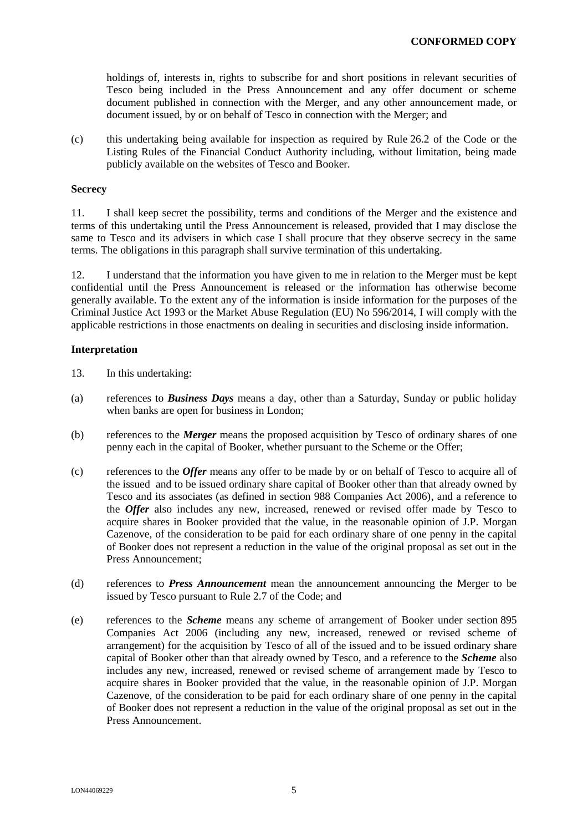holdings of, interests in, rights to subscribe for and short positions in relevant securities of Tesco being included in the Press Announcement and any offer document or scheme document published in connection with the Merger, and any other announcement made, or document issued, by or on behalf of Tesco in connection with the Merger; and

(c) this undertaking being available for inspection as required by Rule 26.2 of the Code or the Listing Rules of the Financial Conduct Authority including, without limitation, being made publicly available on the websites of Tesco and Booker.

### **Secrecy**

11. I shall keep secret the possibility, terms and conditions of the Merger and the existence and terms of this undertaking until the Press Announcement is released, provided that I may disclose the same to Tesco and its advisers in which case I shall procure that they observe secrecy in the same terms. The obligations in this paragraph shall survive termination of this undertaking.

12. I understand that the information you have given to me in relation to the Merger must be kept confidential until the Press Announcement is released or the information has otherwise become generally available. To the extent any of the information is inside information for the purposes of the Criminal Justice Act 1993 or the Market Abuse Regulation (EU) No 596/2014, I will comply with the applicable restrictions in those enactments on dealing in securities and disclosing inside information.

#### **Interpretation**

- 13. In this undertaking:
- (a) references to *Business Days* means a day, other than a Saturday, Sunday or public holiday when banks are open for business in London;
- (b) references to the *Merger* means the proposed acquisition by Tesco of ordinary shares of one penny each in the capital of Booker, whether pursuant to the Scheme or the Offer;
- (c) references to the *Offer* means any offer to be made by or on behalf of Tesco to acquire all of the issued and to be issued ordinary share capital of Booker other than that already owned by Tesco and its associates (as defined in section 988 Companies Act 2006), and a reference to the *Offer* also includes any new, increased, renewed or revised offer made by Tesco to acquire shares in Booker provided that the value, in the reasonable opinion of J.P. Morgan Cazenove, of the consideration to be paid for each ordinary share of one penny in the capital of Booker does not represent a reduction in the value of the original proposal as set out in the Press Announcement;
- (d) references to *Press Announcement* mean the announcement announcing the Merger to be issued by Tesco pursuant to Rule 2.7 of the Code; and
- (e) references to the *Scheme* means any scheme of arrangement of Booker under section 895 Companies Act 2006 (including any new, increased, renewed or revised scheme of arrangement) for the acquisition by Tesco of all of the issued and to be issued ordinary share capital of Booker other than that already owned by Tesco, and a reference to the *Scheme* also includes any new, increased, renewed or revised scheme of arrangement made by Tesco to acquire shares in Booker provided that the value, in the reasonable opinion of J.P. Morgan Cazenove, of the consideration to be paid for each ordinary share of one penny in the capital of Booker does not represent a reduction in the value of the original proposal as set out in the Press Announcement.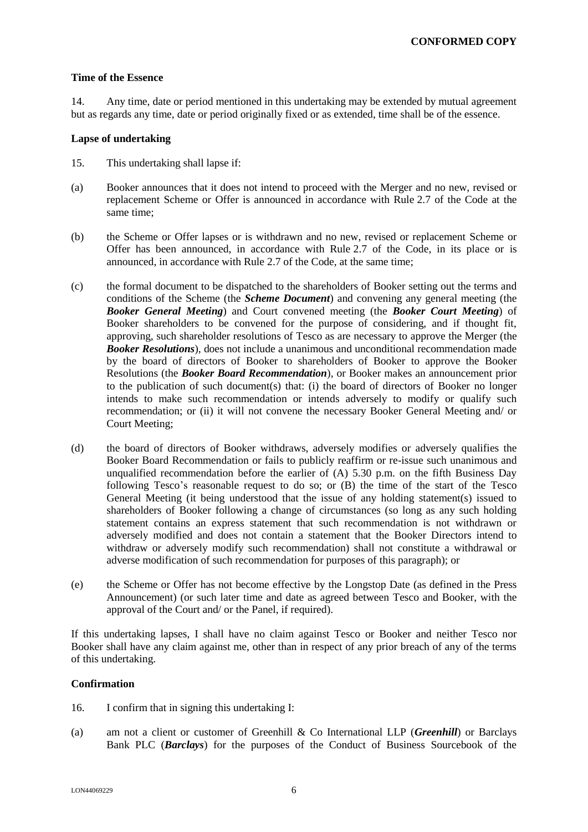## **Time of the Essence**

14. Any time, date or period mentioned in this undertaking may be extended by mutual agreement but as regards any time, date or period originally fixed or as extended, time shall be of the essence.

### **Lapse of undertaking**

- 15. This undertaking shall lapse if:
- (a) Booker announces that it does not intend to proceed with the Merger and no new, revised or replacement Scheme or Offer is announced in accordance with Rule 2.7 of the Code at the same time;
- (b) the Scheme or Offer lapses or is withdrawn and no new, revised or replacement Scheme or Offer has been announced, in accordance with Rule 2.7 of the Code, in its place or is announced, in accordance with Rule 2.7 of the Code, at the same time;
- (c) the formal document to be dispatched to the shareholders of Booker setting out the terms and conditions of the Scheme (the *Scheme Document*) and convening any general meeting (the *Booker General Meeting*) and Court convened meeting (the *Booker Court Meeting*) of Booker shareholders to be convened for the purpose of considering, and if thought fit, approving, such shareholder resolutions of Tesco as are necessary to approve the Merger (the *Booker Resolutions*), does not include a unanimous and unconditional recommendation made by the board of directors of Booker to shareholders of Booker to approve the Booker Resolutions (the *Booker Board Recommendation*), or Booker makes an announcement prior to the publication of such document(s) that: (i) the board of directors of Booker no longer intends to make such recommendation or intends adversely to modify or qualify such recommendation; or (ii) it will not convene the necessary Booker General Meeting and/ or Court Meeting;
- (d) the board of directors of Booker withdraws, adversely modifies or adversely qualifies the Booker Board Recommendation or fails to publicly reaffirm or re-issue such unanimous and unqualified recommendation before the earlier of  $(A)$  5.30 p.m. on the fifth Business Day following Tesco's reasonable request to do so; or (B) the time of the start of the Tesco General Meeting (it being understood that the issue of any holding statement(s) issued to shareholders of Booker following a change of circumstances (so long as any such holding statement contains an express statement that such recommendation is not withdrawn or adversely modified and does not contain a statement that the Booker Directors intend to withdraw or adversely modify such recommendation) shall not constitute a withdrawal or adverse modification of such recommendation for purposes of this paragraph); or
- (e) the Scheme or Offer has not become effective by the Longstop Date (as defined in the Press Announcement) (or such later time and date as agreed between Tesco and Booker, with the approval of the Court and/ or the Panel, if required).

If this undertaking lapses, I shall have no claim against Tesco or Booker and neither Tesco nor Booker shall have any claim against me, other than in respect of any prior breach of any of the terms of this undertaking.

## **Confirmation**

- 16. I confirm that in signing this undertaking I:
- (a) am not a client or customer of Greenhill & Co International LLP (*Greenhill*) or Barclays Bank PLC (*Barclays*) for the purposes of the Conduct of Business Sourcebook of the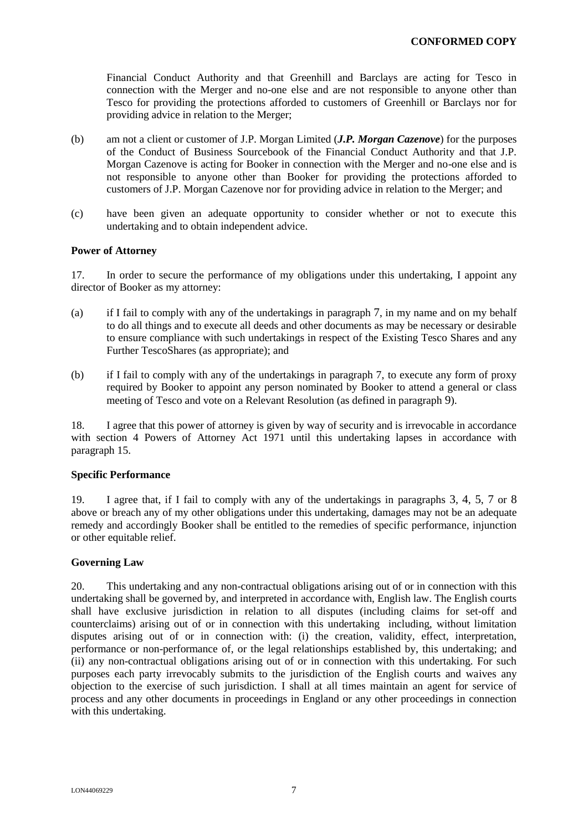Financial Conduct Authority and that Greenhill and Barclays are acting for Tesco in connection with the Merger and no-one else and are not responsible to anyone other than Tesco for providing the protections afforded to customers of Greenhill or Barclays nor for providing advice in relation to the Merger;

- (b) am not a client or customer of J.P. Morgan Limited (*J.P. Morgan Cazenove*) for the purposes of the Conduct of Business Sourcebook of the Financial Conduct Authority and that J.P. Morgan Cazenove is acting for Booker in connection with the Merger and no-one else and is not responsible to anyone other than Booker for providing the protections afforded to customers of J.P. Morgan Cazenove nor for providing advice in relation to the Merger; and
- (c) have been given an adequate opportunity to consider whether or not to execute this undertaking and to obtain independent advice.

## **Power of Attorney**

17. In order to secure the performance of my obligations under this undertaking, I appoint any director of Booker as my attorney:

- (a) if I fail to comply with any of the undertakings in paragraph 7, in my name and on my behalf to do all things and to execute all deeds and other documents as may be necessary or desirable to ensure compliance with such undertakings in respect of the Existing Tesco Shares and any Further TescoShares (as appropriate); and
- (b) if I fail to comply with any of the undertakings in paragraph 7, to execute any form of proxy required by Booker to appoint any person nominated by Booker to attend a general or class meeting of Tesco and vote on a Relevant Resolution (as defined in paragraph 9).

18. I agree that this power of attorney is given by way of security and is irrevocable in accordance with section 4 Powers of Attorney Act 1971 until this undertaking lapses in accordance with paragraph 15.

## **Specific Performance**

19. I agree that, if I fail to comply with any of the undertakings in paragraphs 3, 4, 5, 7 or 8 above or breach any of my other obligations under this undertaking, damages may not be an adequate remedy and accordingly Booker shall be entitled to the remedies of specific performance, injunction or other equitable relief.

## **Governing Law**

20. This undertaking and any non-contractual obligations arising out of or in connection with this undertaking shall be governed by, and interpreted in accordance with, English law. The English courts shall have exclusive jurisdiction in relation to all disputes (including claims for set-off and counterclaims) arising out of or in connection with this undertaking including, without limitation disputes arising out of or in connection with: (i) the creation, validity, effect, interpretation, performance or non-performance of, or the legal relationships established by, this undertaking; and (ii) any non-contractual obligations arising out of or in connection with this undertaking. For such purposes each party irrevocably submits to the jurisdiction of the English courts and waives any objection to the exercise of such jurisdiction. I shall at all times maintain an agent for service of process and any other documents in proceedings in England or any other proceedings in connection with this undertaking.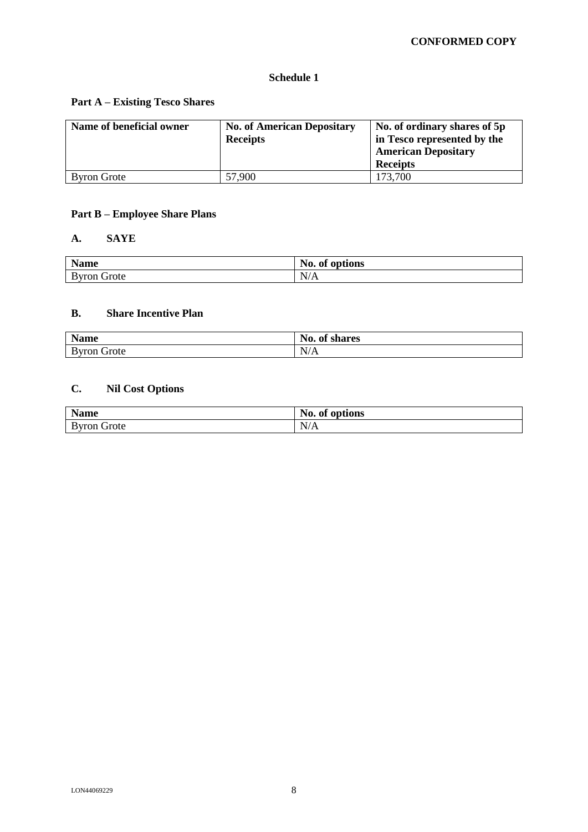## **Schedule 1**

## **Part A – Existing Tesco Shares**

| Name of beneficial owner | <b>No. of American Depositary</b><br><b>Receipts</b> | No. of ordinary shares of 5p<br>in Tesco represented by the<br><b>American Depositary</b><br><b>Receipts</b> |
|--------------------------|------------------------------------------------------|--------------------------------------------------------------------------------------------------------------|
| <b>Byron Grote</b>       | 57,900                                               | 173.700                                                                                                      |

# **Part B – Employee Share Plans**

## **A. SAYE**

| <b>Name</b>    | No.<br>$\cdot$ .<br>of options        |
|----------------|---------------------------------------|
| Byron<br>Grote | $\mathbf{v}$<br>$\mathbf{N}$<br>. 772 |

## **B. Share Incentive Plan**

| <b>Name</b>        | No.<br>A<br>shares<br>0Ī |
|--------------------|--------------------------|
| <b>Byron Grote</b> | N/A                      |

# **C. Nil Cost Options**

| <b>Name</b>        | No.<br>of options |
|--------------------|-------------------|
| <b>Byron Grote</b> | N/A               |